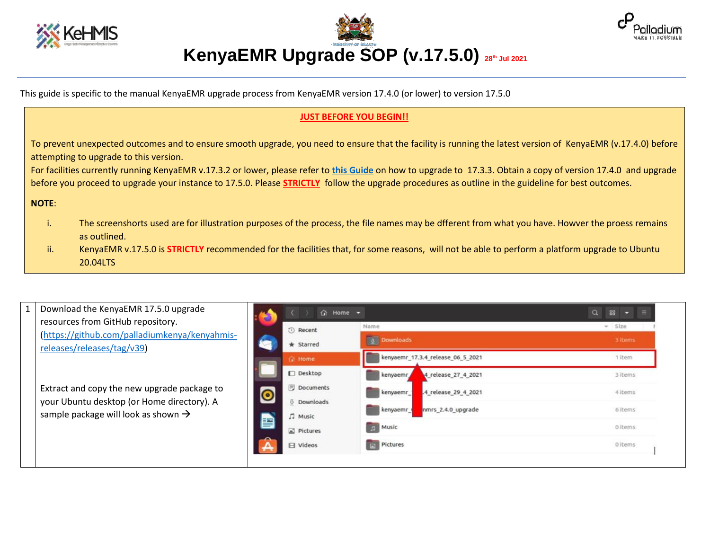

**KenyaEMR Upgrade SOP (v.17.5.0) 28th Jul 2021**



This guide is specific to the manual KenyaEMR upgrade process from KenyaEMR version 17.4.0 (or lower) to version 17.5.0

## **JUST BEFORE YOU BEGIN!!**

To prevent unexpected outcomes and to ensure smooth upgrade, you need to ensure that the facility is running the latest version of KenyaEMR (v.17.4.0) before attempting to upgrade to this version.

For facilities currently running KenyaEMR v.17.3.2 or lower, please refer to **[this Guide](https://drive.google.com/file/d/1cvmD3tQqxUwuiL-EbN2Wc259HT-SZ2ob/view?usp=sharing)** on how to upgrade to 17.3.3. Obtain a copy of version 17.4.0 and upgrade before you proceed to upgrade your instance to 17.5.0. Please **STRICTLY** follow the upgrade procedures as outline in the guideline for best outcomes.

**NOTE**:

- i. The screenshorts used are for illustration purposes of the process, the file names may be dfferent from what you have. Howver the proess remains as outlined.
- ii. KenyaEMR v.17.5.0 is **STRICTLY** recommended for the facilities that, for some reasons, will not be able to perform a platform upgrade to Ubuntu 20.04LTS